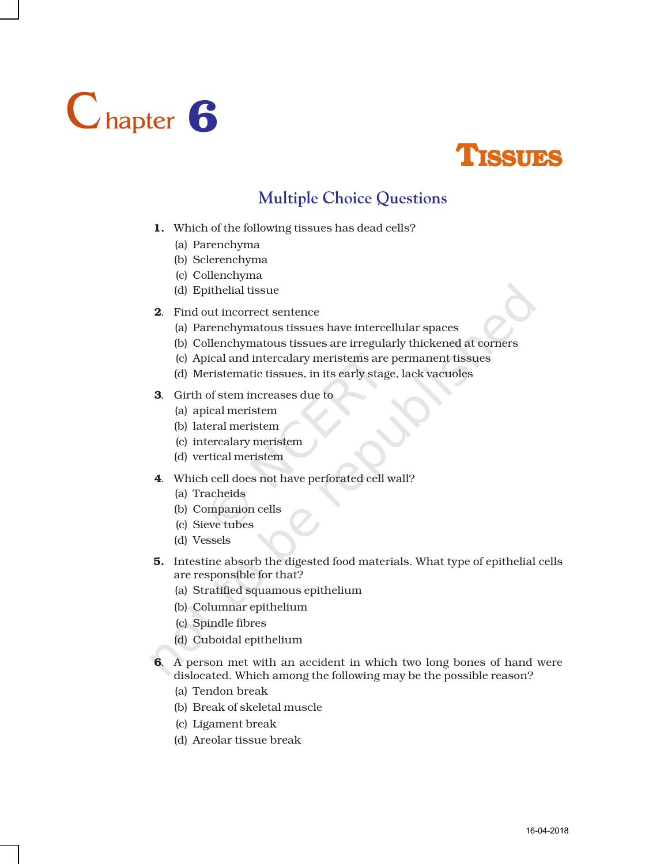



## **Multiple Choice Questions**

- 1. Which of the following tissues has dead cells?
	- (a) Parenchyma
	- (b) Sclerenchyma
	- (c) Collenchyma
	- (d) Epithelial tissue
- 2. Find out incorrect sentence
	- (a) Parenchymatous tissues have intercellular spaces
	- (b) Collenchymatous tissues are irregularly thickened at corners
	- (c) Apical and intercalary meristems are permanent tissues
	- (d) Meristematic tissues, in its early stage, lack vacuoles
- 3. Girth of stem increases due to
	- (a) apical meristem
	- (b) lateral meristem
	- (c) intercalary meristem
	- (d) vertical meristem
- 4. Which cell does not have perforated cell wall?
	- (a) Tracheids
	- (b) Companion cells
	- (c) Sieve tubes
	- (d) Vessels
- 5. Intestine absorb the digested food materials. What type of epithelial cells are responsible for that?
	- (a) Stratified squamous epithelium
	- (b) Columnar epithelium
	- (c) Spindle fibres
	- (d) Cuboidal epithelium
- 6. A person met with an accident in which two long bones of hand were dislocated. Which among the following may be the possible reason?
	- (a) Tendon break
	- (b) Break of skeletal muscle
	- (c) Ligament break
	- (d) Areolar tissue break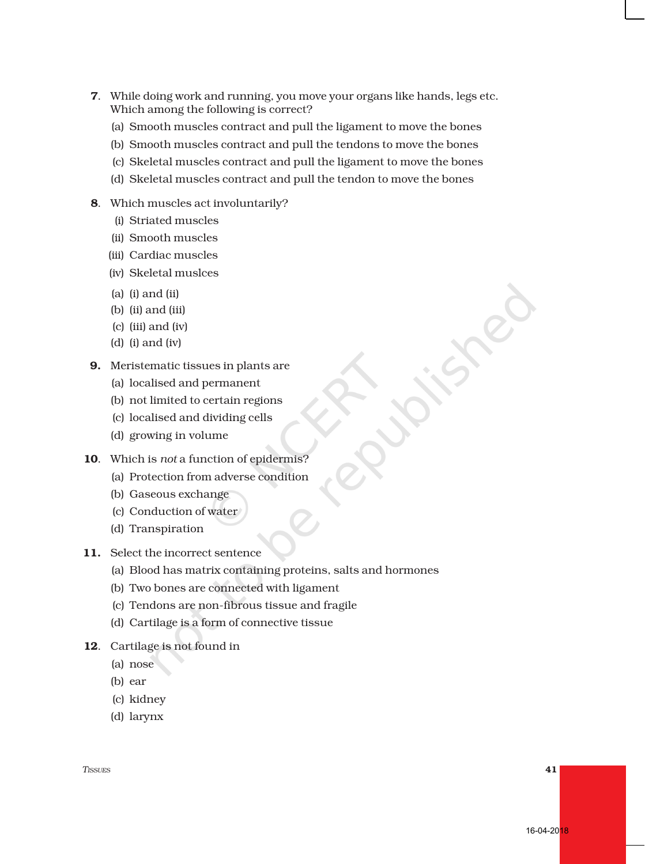- 7. While doing work and running, you move your organs like hands, legs etc. Which among the following is correct?
	- (a) Smooth muscles contract and pull the ligament to move the bones
	- (b) Smooth muscles contract and pull the tendons to move the bones
	- (c) Skeletal muscles contract and pull the ligament to move the bones
	- (d) Skeletal muscles contract and pull the tendon to move the bones
- 8. Which muscles act involuntarily?
	- (i) Striated muscles
	- (ii) Smooth muscles
	- (iii) Cardiac muscles
	- (iv) Skeletal muslces
	- (a) (i) and (ii)
	- (b) (ii) and (iii)
	- (c) (iii) and (iv)
	- (d) (i) and (iv)
- 9. Meristematic tissues in plants are
	- (a) localised and permanent
	- (b) not limited to certain regions
	- (c) localised and dividing cells
	- (d) growing in volume
- 10. Which is *not* a function of epidermis?
	- (a) Protection from adverse condition
	- (b) Gaseous exchange
	- (c) Conduction of water
	- (d) Transpiration
- 11. Select the incorrect sentence
	- (a) Blood has matrix containing proteins, salts and hormones
	- (b) Two bones are connected with ligament
	- (c) Tendons are non-fibrous tissue and fragile
	- (d) Cartilage is a form of connective tissue
- 12. Cartilage is not found in
	- (a) nose
	- (b) ear
	- (c) kidney
	- (d) larynx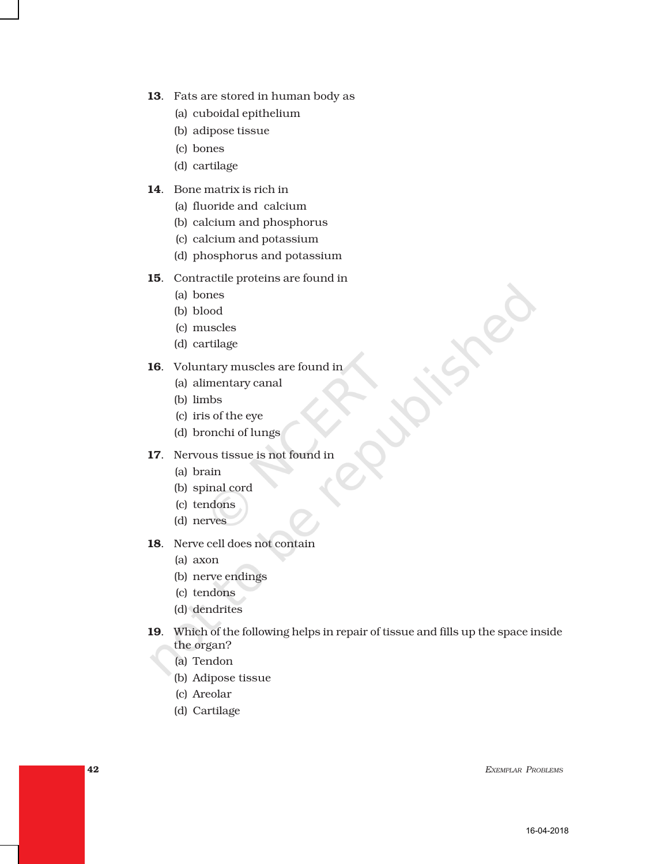- 13. Fats are stored in human body as
	- (a) cuboidal epithelium
	- (b) adipose tissue
	- (c) bones
	- (d) cartilage
- 14. Bone matrix is rich in
	- (a) fluoride and calcium
	- (b) calcium and phosphorus
	- (c) calcium and potassium
	- (d) phosphorus and potassium
- 15. Contractile proteins are found in
	- (a) bones
	- (b) blood
	- (c) muscles
	- (d) cartilage
- 16. Voluntary muscles are found in
	- (a) alimentary canal
	- (b) limbs
	- (c) iris of the eye
	- (d) bronchi of lungs
- 17. Nervous tissue is not found in
	- (a) brain
	- (b) spinal cord
	- (c) tendons
	- (d) nerves
- 18. Nerve cell does not contain
	- (a) axon
	- (b) nerve endings
	- (c) tendons
	- (d) dendrites
- 19. Which of the following helps in repair of tissue and fills up the space inside the organ?
	- (a) Tendon
	- (b) Adipose tissue
	- (c) Areolar
	- (d) Cartilage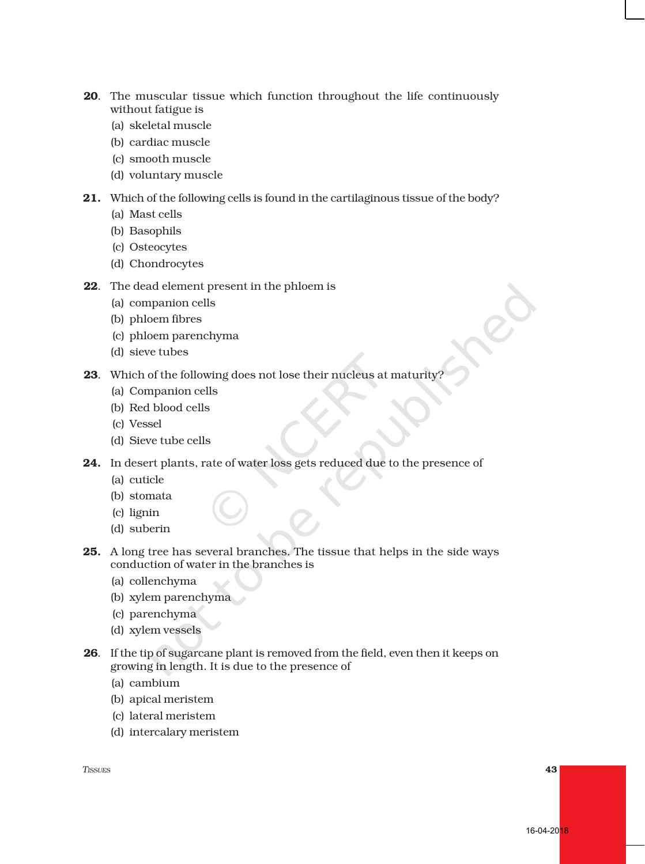- 20. The muscular tissue which function throughout the life continuously without fatigue is
	- (a) skeletal muscle
	- (b) cardiac muscle
	- (c) smooth muscle
	- (d) voluntary muscle
- 21. Which of the following cells is found in the cartilaginous tissue of the body?
	- (a) Mast cells
	- (b) Basophils
	- (c) Osteocytes
	- (d) Chondrocytes
- 22. The dead element present in the phloem is
	- (a) companion cells
	- (b) phloem fibres
	- (c) phloem parenchyma
	- (d) sieve tubes
- 23. Which of the following does not lose their nucleus at maturity?
	- (a) Companion cells
	- (b) Red blood cells
	- (c) Vessel
	- (d) Sieve tube cells
- 24. In desert plants, rate of water loss gets reduced due to the presence of
	- (a) cuticle
	- (b) stomata
	- (c) lignin
	- (d) suberin
- 25. A long tree has several branches. The tissue that helps in the side ways conduction of water in the branches is
	- (a) collenchyma
	- (b) xylem parenchyma
	- (c) parenchyma
	- (d) xylem vessels
- 26. If the tip of sugarcane plant is removed from the field, even then it keeps on growing in length. It is due to the presence of
	- (a) cambium
	- (b) apical meristem
	- (c) lateral meristem
	- (d) intercalary meristem

*TISSUES* 43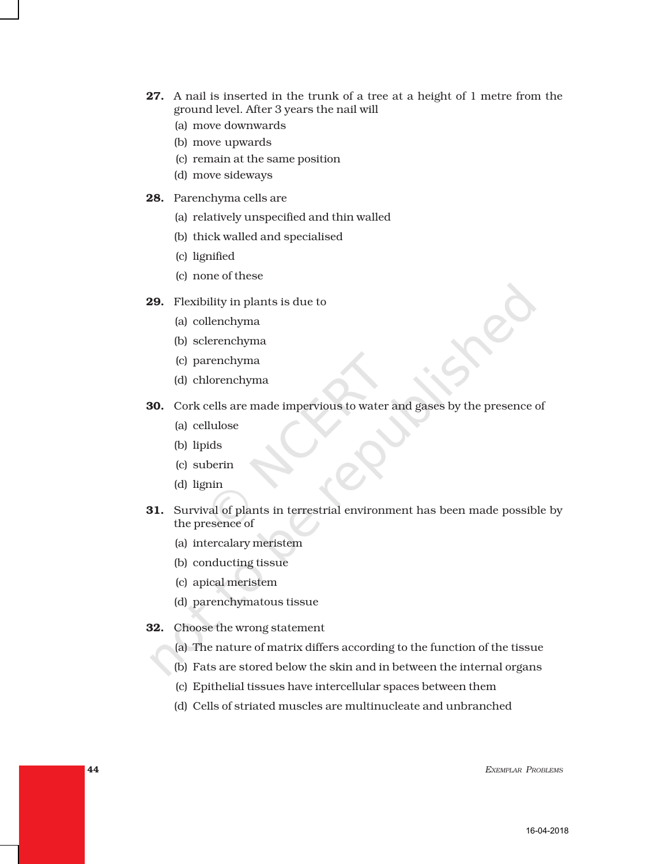- 27. A nail is inserted in the trunk of a tree at a height of 1 metre from the ground level. After 3 years the nail will
	- (a) move downwards
	- (b) move upwards
	- (c) remain at the same position
	- (d) move sideways
- 28. Parenchyma cells are
	- (a) relatively unspecified and thin walled
	- (b) thick walled and specialised
	- (c) lignified
	- (c) none of these
- 29. Flexibility in plants is due to
	- (a) collenchyma
	- (b) sclerenchyma
	- (c) parenchyma
	- (d) chlorenchyma
- 30. Cork cells are made impervious to water and gases by the presence of
	- (a) cellulose
	- (b) lipids
	- (c) suberin
	- (d) lignin
- 31. Survival of plants in terrestrial environment has been made possible by the presence of
	- (a) intercalary meristem
	- (b) conducting tissue
	- (c) apical meristem
	- (d) parenchymatous tissue
- 32. Choose the wrong statement
	- (a) The nature of matrix differs according to the function of the tissue
	- (b) Fats are stored below the skin and in between the internal organs
	- (c) Epithelial tissues have intercellular spaces between them
	- (d) Cells of striated muscles are multinucleate and unbranched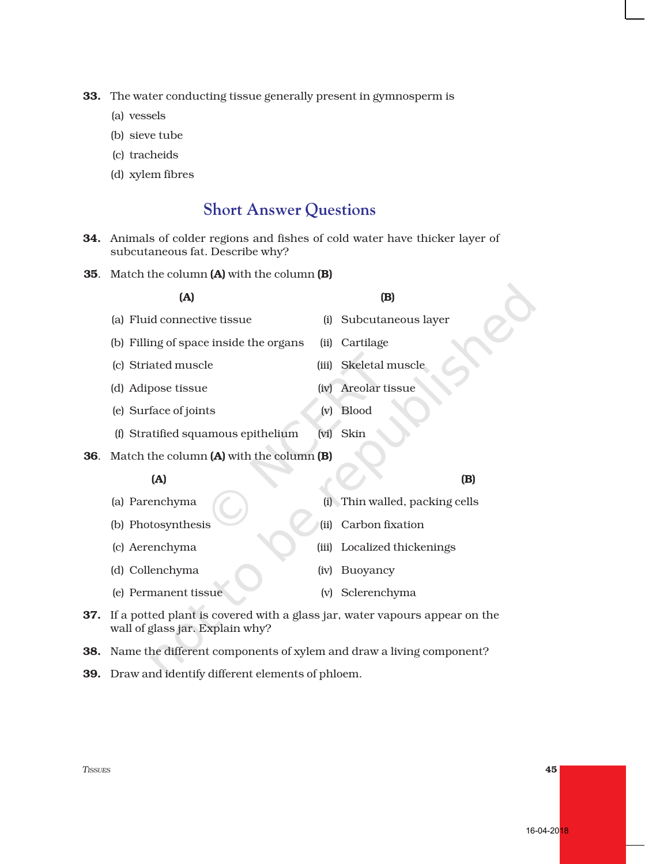33. The water conducting tissue generally present in gymnosperm is

- (a) vessels
- (b) sieve tube
- (c) tracheids
- (d) xylem fibres

## **Short Answer Questions**

- 34. Animals of colder regions and fishes of cold water have thicker layer of subcutaneous fat. Describe why?
- 35. Match the column (A) with the column (B)

|     | (A)                                      |       | (B)                        |
|-----|------------------------------------------|-------|----------------------------|
|     | (a) Fluid connective tissue              | (i)   | Subcutaneous layer         |
|     | (b) Filling of space inside the organs   | (ii)  | Cartilage                  |
|     | (c) Striated muscle                      | (iii) | Skeletal muscle            |
|     | (d) Adipose tissue                       | (iv)  | Areolar tissue             |
|     | (e) Surface of joints                    | (v)   | <b>Blood</b>               |
|     | (f) Stratified squamous epithelium       | (vi)  | Skin                       |
| 36. | Match the column (A) with the column (B) |       |                            |
|     | (A)                                      |       | (B)                        |
|     | (a) Parenchyma                           | (i)   | Thin walled, packing cells |
|     | (b) Photosynthesis                       | (ii)  | Carbon fixation            |
|     | (c) Aerenchyma                           | (iii) | Localized thickenings      |
|     | (d) Collenchyma                          | (iv)  | Buoyancy                   |
|     | (e) Permanent tissue                     |       | (v) Sclerenchyma           |

- 37. If a potted plant is covered with a glass jar, water vapours appear on the wall of glass jar. Explain why?
- 38. Name the different components of xylem and draw a living component?
- 39. Draw and identify different elements of phloem.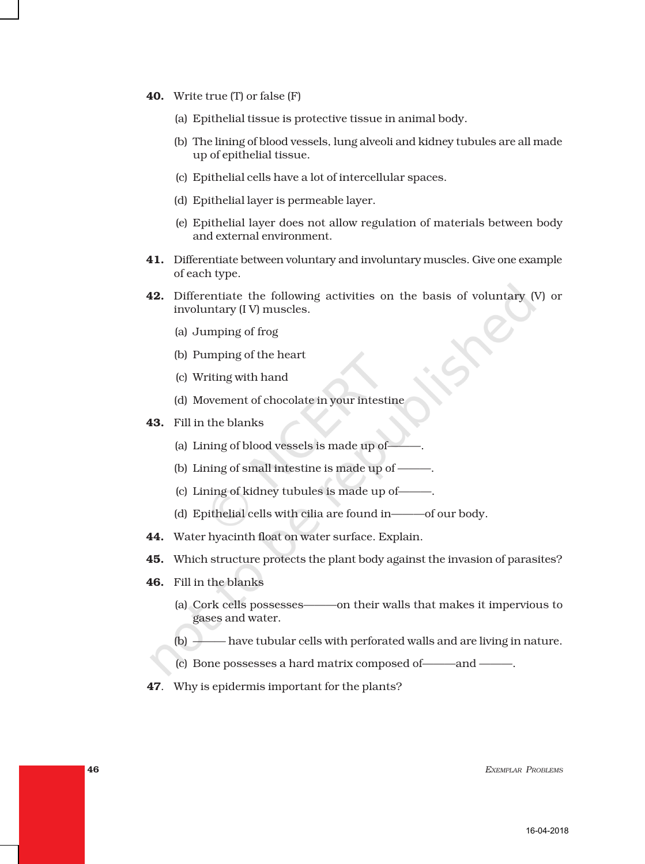- 40. Write true (T) or false (F)
	- (a) Epithelial tissue is protective tissue in animal body.
	- (b) The lining of blood vessels, lung alveoli and kidney tubules are all made up of epithelial tissue.
	- (c) Epithelial cells have a lot of intercellular spaces.
	- (d) Epithelial layer is permeable layer.
	- (e) Epithelial layer does not allow regulation of materials between body and external environment.
- 41. Differentiate between voluntary and involuntary muscles. Give one example of each type.
- **42.** Differentiate the following activities on the basis of voluntary  $(V)$  or involuntary (I V) muscles.
	- (a) Jumping of frog
	- (b) Pumping of the heart
	- (c) Writing with hand
	- (d) Movement of chocolate in your intestine
- 43. Fill in the blanks
	- (a) Lining of blood vessels is made up of-
	- (b) Lining of small intestine is made up of ———.
	- (c) Lining of kidney tubules is made up of———.
	- (d) Epithelial cells with cilia are found in———of our body.
- 44. Water hyacinth float on water surface. Explain.
- 45. Which structure protects the plant body against the invasion of parasites?
- 46. Fill in the blanks
	- (a) Cork cells possesses———on their walls that makes it impervious to gases and water.
	- (b) ——— have tubular cells with perforated walls and are living in nature.
	- (c) Bone possesses a hard matrix composed of———and ———.
- 47. Why is epidermis important for the plants?